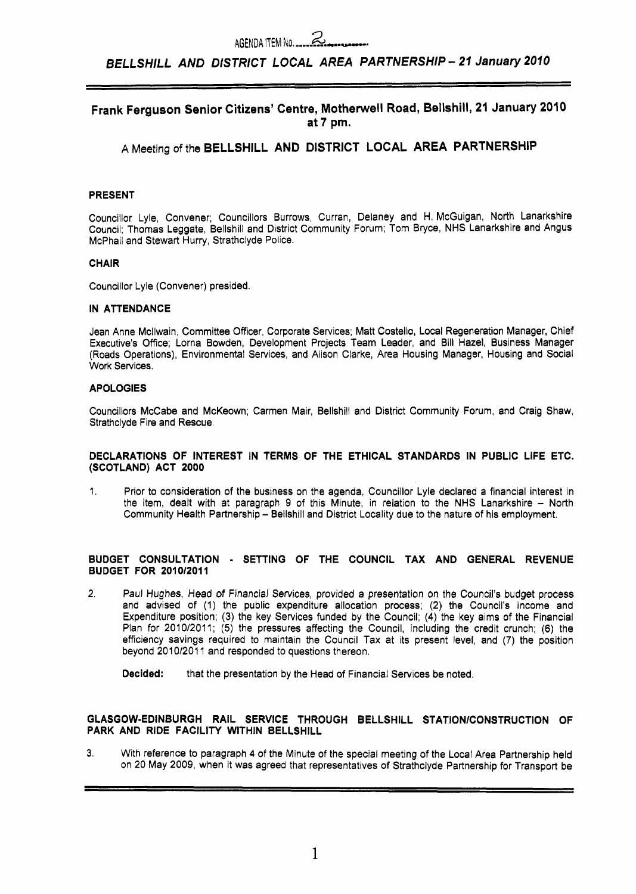AGENDA ITEM NO. 2008. AGENDA ITEM NO. 2008. AGENDA ITEM NO. 2008. 2010.<br>BELLSHILL AND DISTRICT LOCAL AREA PARTNERSHIP - 21 January 2010

## **Frank Ferguson Senior Citizens' Centre, Motherwell Road, Bellshill, 21 January 2010 at 7 pm.**

## **A** Meeting of the **BELLSHILL AND DISTRICT LOCAL AREA PARTNERSHIP**

## **PRESENT**

Councillor Lyle, Convener; Councillors Burrows, Curran, Delaney and H. McGuigan, North Lanarkshire Council; Thomas Leggate, Bellshill and District Community Forum; Tom Bryce, NHS Lanarkshire and Angus McPhail and Stewart Hurry, Strathclyde Police.

## **CHAIR**

Councillor Lyle (Convener) presided.

## **IN ATTENDANCE**

Jean Anne Mcllwain, Committee Officer, Corporate Services; Matt Costello, Local Regeneration Manager, Chief Executive's Office; Lorna Bowden, Development Projects Team Leader, and Bill Hazel, Business Manager (Roads Operations), Environmental Services, and Alison Clarke, Area Housing Manager, Housing and Social Work Services.

## **APOLOGIES**

Councillors McCabe and McKeown; Carmen Mair, Bellshill and District Community Forum, and Craig Shaw, Strathclyde Fire and Rescue.

## **DECLARATIONS OF INTEREST IN TERMS OF THE ETHICAL STANDARDS IN PUBLIC LIFE ETC. (SCOTLAND) ACT 2000**

1. Prior to consideration of the business on the agenda, Councillor Lyle declared a financial interest in the item, dealt with at paragraph 9 of this Minute, in relation to the NHS Lanarkshire - North Community Health Partnership - Bellshill and District Locality due to the nature of his employment.

## **BUDGET CONSULTATION** - **SETTING OF THE COUNCIL TAX AND GENERAL REVENUE BUDGET FOR 2010/2011**

**2.** Paul Hughes, Head of Financial Services, provided a presentation **on** the Council's budget process and advised of (1) the public expenditure allocation process; **(2)** the Council's Income and Expenditure position; (3) the key Services funded by the Council; **(4)** the key aims of the Financial Plan for 2010/2011; (5) the pressures affecting the Council, including the credit crunch; (6) the efficiency savings required to maintain the Council Tax at its present level, and **(7)** the position beyond 2010/2011 and responded to questions thereon.

**Decided:** that the presentation by the Head of Financial Services be noted.

## **GLASGOW-EDINBURGH RAIL SERVICE THROUGH BELLSHILL STATlONlCONSTRUCTlON OF PARK AND RIDE FACILITY WITHIN BELLSHILL**

**3.** With reference to paragraph **4** of the Minute of the special meeting of the Local Area Partnership held on 20 May 2009, when it was agreed that representatives of Strathclyde Partnership for Transport be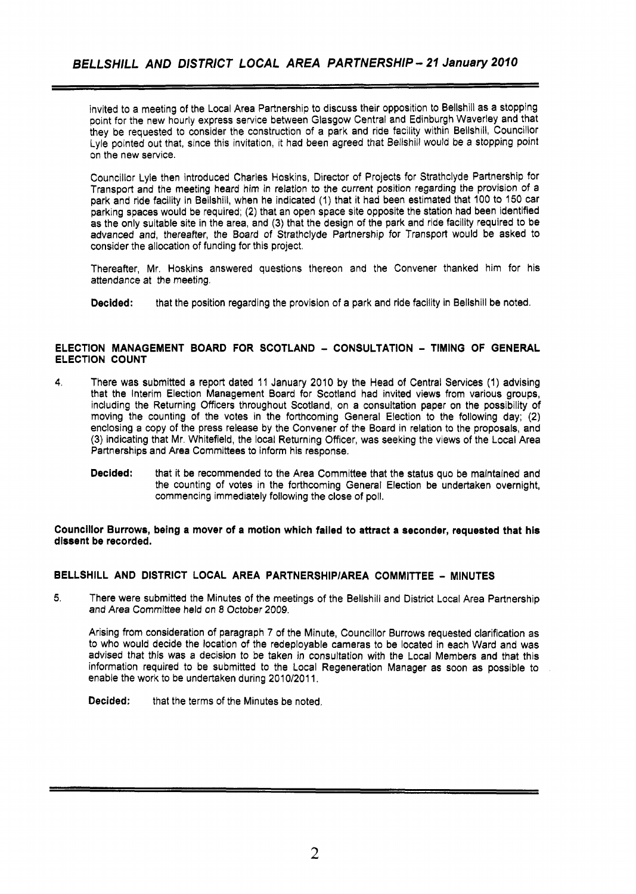invited to a meeting of the Local Area Partnership to discuss their opposition to Bellshill as a stopping point for the new hourly express service between Glasgow Central and Edinburgh Waverley and that they be requested to consider the construction of a park and ride facility within Bellshill, Councillor Lyle pointed out that, since this invitation, it had been agreed that Bellshill would be a stopping point on the new service.

Councillor Lyie then introduced Charles Hoskins, Director of Projects for Strathclyde Partnership for Transport and the meeting heard him in relation to the current position regarding the provision of a park and ride facility in Bellshill, when he indicated (1) that it had been estimated that 100 to 150 car parking spaces would be required; (2) that an open space site opposite the station had been identified as the only suitable site in the area, and (3) that the design of the park and ride facility required to be advanced and, thereafter, the Board of Strathclyde Partnership for Transport would be asked to consider the allocation of funding for this project.

Thereafter, Mr. Hoskins answered questions thereon and the Convener thanked him for his attendance at the meeting.

**Decided:** that the position regarding the provision of a park and ride facility in Bellshill be noted.

## **ELECTION MANAGEMENT BOARD FOR SCOTLAND** - **CONSULTATION** - **TIMING OF GENERAL ELECTION COUNT**

- **4.** There was submitted a report dated 11 January 2010 by the Head of Central Services (1) advising that the Interim Election Management Board for Scotland had invited views from various groups, including the Returning Officers throughout Scotland, on a consultation paper on the possibility of moving the counting of the votes in the forthcoming General Election to the following day; (2) enclosing a copy of the press release by the Convener of the Board in relation to the proposals, and (3) indicating that Mr. Whitefield, the local Returning Officer, was seeking the views of the Local Area Partnerships and Area Committees to inform his response.
	- **Decided:** that it be recommended to the Area Committee that the status quo be maintained and the counting of votes in the forthcoming General Election be undertaken overnight, commencing immediately following the close of poll.

## **Councillor Burrows, being a mover of a motion which failed to attract a seconder, requested that his dissent be recorded.**

## **BELLSHILL AND DISTRICT LOCAL AREA PARTNERSHIPIAREA COMMITTEE** - **MINUTES**

**5.** There were submitted the Minutes of the meetings of the Bellshill and District Local Area Partnership *and Area* Committee held on *8* October 2009.

Arising from consideration of paragraph 7 of the Minute, Councillor Burrows requested clarification as to who would decide the location of the redeployable cameras to be located in each Ward and was advised that this was a decision to be taken in consultation with the Local Members and that this information required to be submitted to the Local Regeneration Manager as soon as possible to enable the work to be undertaken during 2010/2011.

**Decided:** that the terms of the Minutes be noted.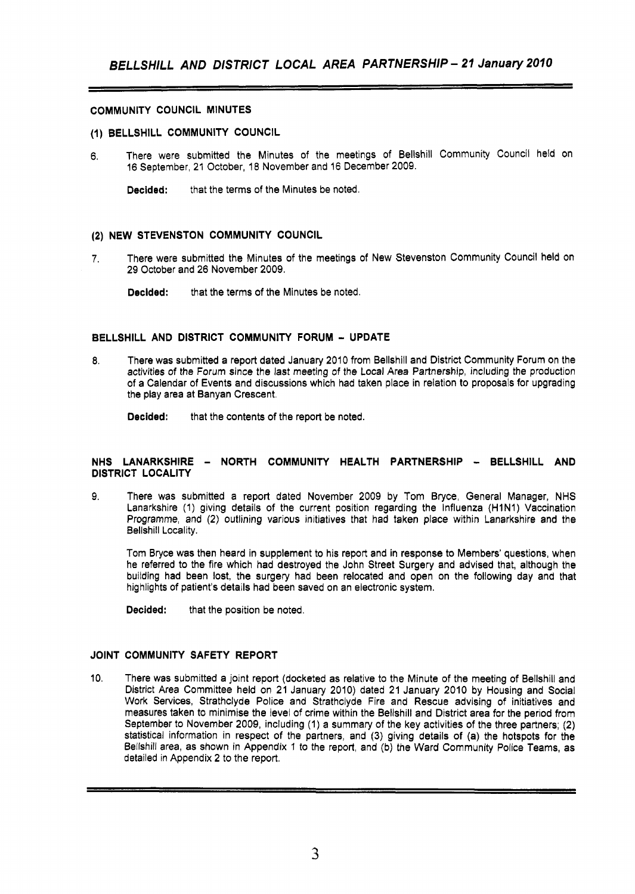## **COMMUNITY COUNCIL MINUTES**

## **(1) BELLSHILL COMMUNITY COUNCIL**

**6.** There were submitted the Minutes of the meetings of Bellshill Community Council held on 16 September, 21 October, 18 November and 16 December 2009.

**Decided:** that the terms of the Minutes be noted.

### **(2) NEW STEVENSTON COMMUNITY COUNCIL**

- **7.** There were submitted the Minutes of the meetings of New Stevenston Community Council held on 29 October and 26 November 2009.
	- **Decided:** that the terms of the Minutes be noted.

### **BELLSHILL AND DISTRICT COMMUNITY FORUM** - **UPDATE**

**8.** There was submitted a report dated January 2010 from Bellshill and District Community Forum on the activities of the Forum since the last meeting of the Local Area Partnership, including the production of a Calendar of Events and discussions which had taken place in relation to proposals for upgrading the play area at Banyan Crescent.

**Decided:** that the contents of the report be noted.

## **NHS LANARKSHIRE** - **NORTH COMMUNITY HEALTH PARTNERSHIP** - **BELLSHILL AND DISTRICT LOCALITY**

9. There was submitted a report dated November 2009 by Tom Bryce, General Manager, NHS Lanarkshire (1) giving details of the current position regarding the Influenza (H1N1) Vaccination Programme, and (2) outlining various initiatives that had taken place within Lanarkshire and the Bellshill Locality.

Tom Bryce was then heard in supplement to his report and in response to Members' questions, when he referred to the fire which had destroyed the John Street Surgery and advised that, although the building had been lost, the surgery had been relocated and open on the following day and that highlights of patient's details had been saved on an electronic system.

**Decided:** that the position be noted.

## **JOINT COMMUNITY SAFETY REPORT**

10. There was submitted a joint report (docketed as relative to the Minute of the meeting of Bellshill and District Area Committee held on **21** January 2010) dated **21** January 2010 by Housing and Social Work Services, Strathclyde Police and Strathclyde Fire and Rescue advising of initiatives and measures taken to minimise the level of crime within the Bellshill and District area for the period from September to November 2009, including (1) a summary of the key activities of the three partners; **(2)**  statistical information in respect of the partners, and **(3)** giving details of (a) the hotspots for the Bellshill area, as shown in Appendix 1 to the report, and (b) the Ward Community Police Teams, as detailed in Appendix **2** to the report.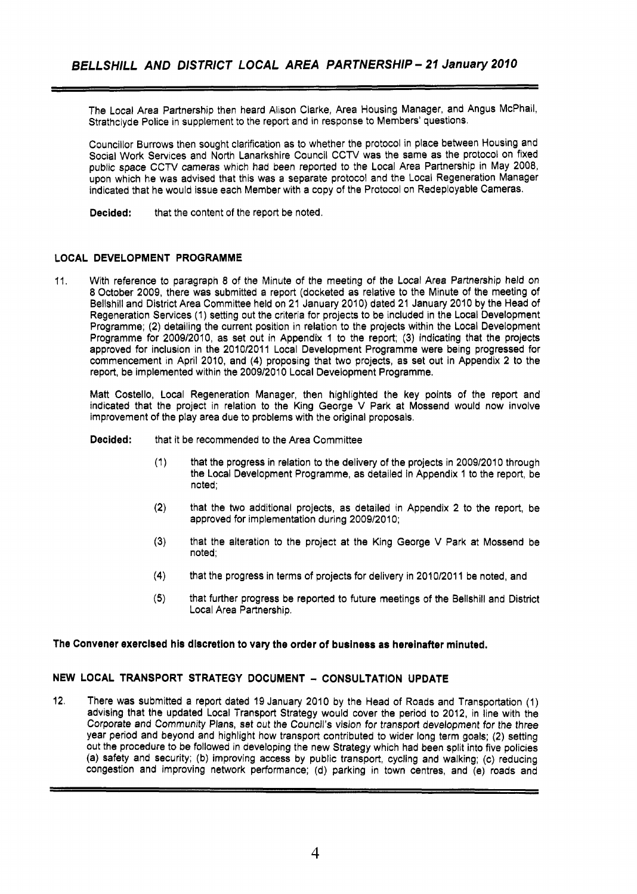The Local Area Partnership then heard Alison Clarke, Area Housing Manager, and Angus McPhail, Strathclyde Police in supplement to the report and in response to Members' questions.

Councillor Burrows then sought clarification as to whether the protocol in place between Housing and Social Work Services and North Lanarkshire Council CCTV was the same as the protocol on fixed public space CCTV cameras which had been reported to the Local Area Partnership in May 2008, upon which he was advised that this was a separate protocol and the Local Regeneration Manager indicated that he would issue each Member with a copy of the Protocol on Redeployable Cameras.

**Decided:** that the content of the report be noted.

## **LOCAL DEVELOPMENT PROGRAMME**

11. With reference to paragraph **8** of the Minute of the meeting of the Local Area Partnership held on 8 October 2009, there was submitted a report (docketed as relative to the Minute of the meeting of Bellshill and District Area Committee held on 21 January 2010) dated 21 January 2010 by the Head of Regeneration Services (I) setting out the criteria for projects to be included in the Local Development Programme; (2) detailing the current position in relation to the projects within the Local Development Programme for 2009/2010, as set out in Appendix 1 to the report; **(3)** indicating that the projects approved for inclusion in the 2010/2011 Local Development Programme were being progressed for commencement in April 2010, and **(4)** proposing that two projects, as set out in Appendix 2 to the report, be implemented within the 2009/2010 Local Development Programme.

Matt Costello, Local Regeneration Manager, then highlighted the key points of the report and indicated that the project in relation to the King George V Park at Mossend would now involve improvement of the play area due to problems with the original proposals.

**Decided:** that it be recommended to the Area Committee

- (1) that the progress in relation to the delivery of the projects in 2009/2010 through the Local Development Programme, as detailed in Appendix 1 to the report, be noted;
- **(2)**  that the two additional projects, as detailed in Appendix 2 to the report, be approved for implementation during 2009/2010;
- **(3)**  that the alteration to the project at the King George V Park at Mossend be noted;
- **(4)**  that the progress in terms of projects for delivery in 2010/2011 be noted, and
- **(5)**  that further progress be reported to future meetings of the Bellshill and District Local Area Partnership.

### **The Convener exercised his discretion to vary the order of business as hereinafter minuted.**

## **NEW LOCAL TRANSPORT STRATEGY DOCUMENT** - **CONSULTATION UPDATE**

**12.** There was submitted a report dated 19 January 2010 by the Head of Roads and Transportation (1) advising that the updated Local Transport Strategy would cover the period to 2012, in line with the Corporate and Community Plans, set *out* the Council's vision for transport development for the three year period and beyond and highlight how transport contributed to wider long term goals; (2) setting out the procedure to be followed in developing the new Strategy which had been split into five policies (a) safety and security; (b) improving access by public transport, cycling and walking; (c) reducing congestion and improving network performance; (d) parking in town centres, and (e) roads and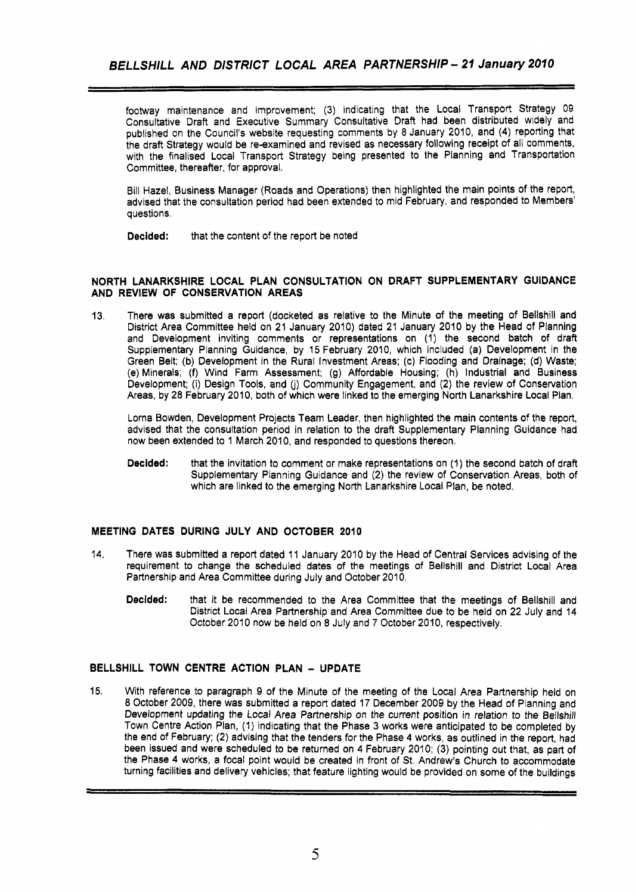footway maintenance and improvement; (3) indicating that the Local Transport Strategy 09 Consultative Draft and Executive Summary Consultative Draft had been distributed widely and published on the Council's website requesting comments by **8** January 2010, and **(4)** reporting that the draft Strategy would be re-examined and revised as necessary following receipt of all comments, with the finalised Local Transport Strategy being presented to the Planning and Transportation Committee, thereafter, for approval.

Bill Hazel, Business Manager (Roads and Operations) then highlighted the main points of the report, advised that the consultation period had been extended to mid February, and responded to Members' questions.

**Decided:** that the content *of* the report be noted

## **NORTH LANARKSHIRE LOCAL PLAN CONSULTATION ON DRAFT SUPPLEMENTARY GUIDANCE AND REVIEW OF CONSERVATION AREAS**

13, There was submitted a report (docketed as relative to the Minute of the meeting of Bellshill and District Area Committee held on 21 January 2010) dated 21 January 2010 by the Head of Planning and Development inviting comments or representations on (1) the second batch of draft Supplementary Planning Guidance, by 15 February 2010, which included (a) Development in the Green Belt; (b) Development in the Rural Investment Areas; (c) Flooding and Drainage; (d) Waste; (e) Minerals; (f) Wind Farm Assessment; (9) Affordable Housing; (h) Industrial and Business Development; (i) Design Tools, and (j) Community Engagement, and (2) the review of Conservation Areas, by 28 February 2010, both of which were linked to the emerging North Lanarkshire Local Plan.

Lorna Bowden, Development Projects Team Leader, then highlighted the main contents *of* the report, advised that the consultation period in relation to the draft Supplementary Planning Guidance had now been extended to 1 March 2010, and responded to questions thereon.

**Decided:** that the invitation to comment or make representations on (1) the second batch of draft Supplementary Planning Guidance and (2) the review of Conservation Areas, both of which are linked to the emerging North Lanarkshire Local Plan, be noted.

## **MEETING DATES DURING JULY AND OCTOBER 2010**

- 14. There was submitted a report dated 11 January 2010 by the Head *of* Central Services advising of the requirement to change the scheduled dates of the meetings of Bellshill and District Local Area Partnership and Area Committee during July and October 2010.
	- **Decided:** that it be recommended to the Area Committee that the meetings of Bellshill and District Local Area Partnership and Area Committee due to be held on 22 July and 14 October 2010 now be held **on** 8 July and 7 October 2010, respectively.

## **BELLSHILL TOWN CENTRE ACTION PLAN** - **UPDATE**

15. With reference *to* paragraph 9 of the Minute of the meeting of the Local Area Partnership held on 8 October 2009, there was submitted a report dated 17 December 2009 **by** the Head of Planning and Development updating the Local Area Partnership on the current position in relation to the Bellshill Town Centre Action Plan, (1) indicating that the Phase 3 works were anticipated to be completed by the end of February; (2) advising that the tenders for the Phase **4** works, **as** outlined in the report, had been issued and were scheduled to be returned on **4** February 2010; **(3)** pointing out that, as part of the Phase **4** works, a focal point would be created in front of St. Andrew's Church to accommodate turning facilities and delivery vehicles; that feature lighting would be provided on some of the buildings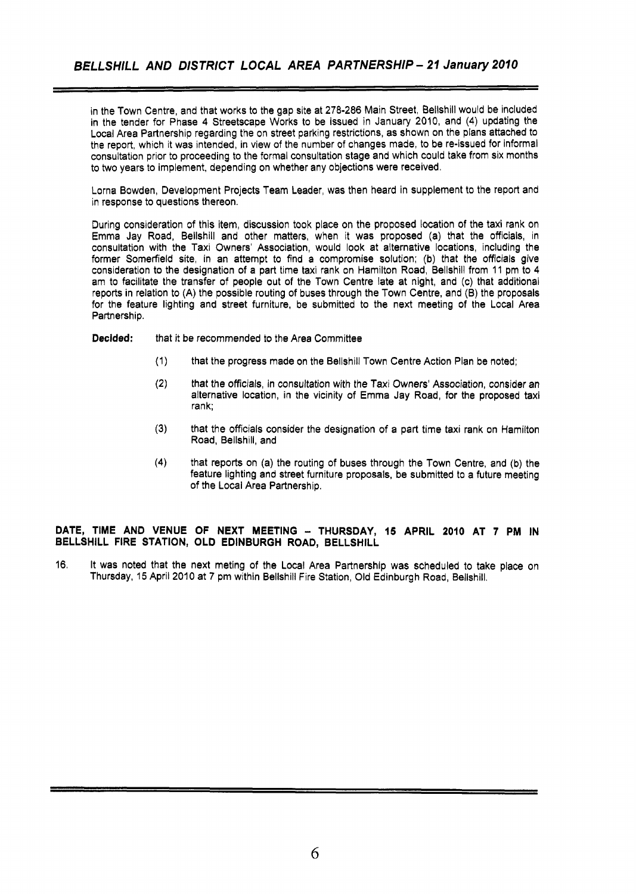in the Town Centre, and that works to the gap site at **278-286** Main Street, Bellshill would be included in the tender for Phase **4** Streetscape Works to be issued in January 2010, and **(4)** updating the Local Area Partnership regarding the on street parking restrictions, as shown on the plans attached to the report, which it was intended, in view of the number of changes made, to be re-issued for informal consultation prior to proceeding to the formal consultation stage and which could take from six months to two years to implement, depending on whether any objections were received.

Lorna Bowden, Development Projects Team Leader, was then heard in supplement to the report and in response to questions thereon.

During consideration of this item, discussion took place on the proposed location of the taxi rank on Emma Jay Road, Bellshill and other matters, when it was proposed (a) that the officials, in consultation with the Taxi Owners' Association, would look at alternative locations, including the former Somerfield site, in an attempt to find a compromise solution; (b) that the officials give consideration to the designation of a part time taxi rank on Hamilton Road, Bellshill from 11 pm to **4**  am to facilitate the transfer of people out of the Town Centre late at night, and (c) that additional reports in relation to (A) the possible routing of buses through the Town Centre, and (B) the proposals for the feature lighting and street furniture, be submitted to the next meeting of the Local Area Partnership.

**Decided:** that it be recommended to the Area Committee

- (1) that the progress made on the Bellshill Town Centre Action Plan be noted;
- **(2)**  that the officials, in consultation with the Taxi Owners' Association, consider an alternative location, in the vicinity of Emma Jay Road, for the proposed taxi rank;
- **(3)** that the officials consider the designation of a part time taxi rank on Hamilton Road, Bellshill, and
- **(4)** that reports on (a) the routing of buses through the Town Centre, and (b) the feature lighting and street furniture proposals, be submitted to a future meeting of the Local Area Partnership.

## **DATE, TIME AND VENUE OF NEXT MEETING** - **THURSDAY, 15 APRIL 2010 AT 7 PM IN BELLSHILL FIRE STATION, OLD EDINBURGH ROAD, BELLSHILL**

**16.** It was noted that the next meting of the Local Area Partnership was scheduled to take place on Thursday, 15 April 2010 at **7** pm within Bellshill Fire Station, Old Edinburgh Road, Bellshill.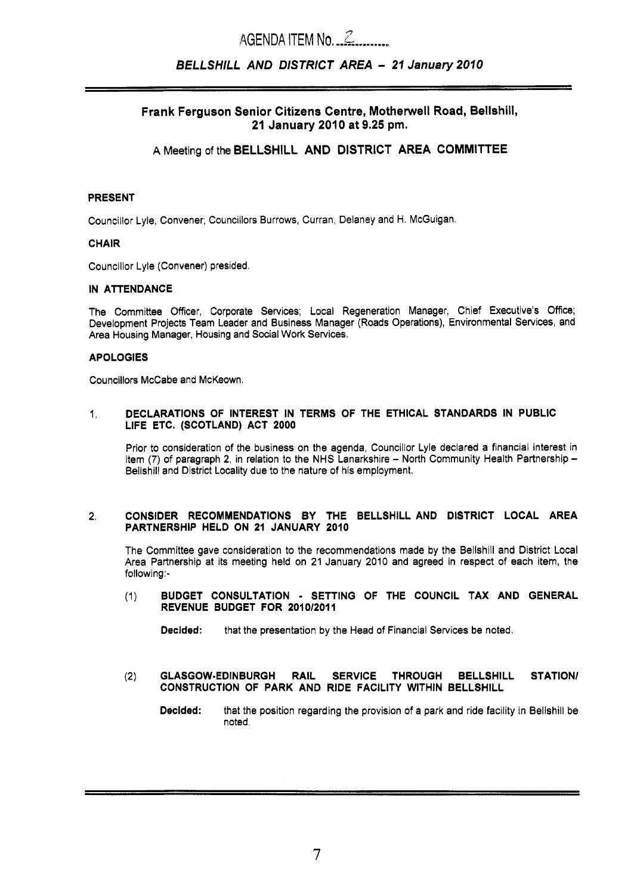# *<sup>3</sup>*AGENDA ITEM NO,-.L.--..\*~

## *BELLSHILL AND DISTRICT AREA* - *21 January 2010*

## Frank Ferguson Senior Citizens Centre, Motherwell Road, Bellshill, 21 January 2010 at 9.25 pm.

## A Meeting of the BELLSHILL AND DISTRICT AREA COMMITTEE

## PRESENT

Councillor Lyle, Convener; Councillors Burrows, Curran, Delaney and H. McGuigan.

## CHAIR

Councillor Lyle (Convener) presided.

## IN ATTENDANCE

The Committee Officer, Corporate Services; Local Regeneration Manager, Chief Executive's Office; Development Projects Team Leader and Business Manager (Roads Operations), Environmental Services, and Area Housing Manager, Housing and Social Work Services.

## APOLOGIES

Councillors McCabe and McKeown.

1. DECLARATIONS **OF** INTEREST IN TERMS OF THE ETHICAL STANDARDS IN PUBLIC LIFE ETC. (SCOTLAND) ACT **2000** 

Prior to consideration of the business on the agenda, Councillor Lyle declared a financial interest in item (7) of paragraph 2, in relation to the NHS Lanarkshire - North Community Health Partnership -Bellshill and District Locality due to the nature of **his** employment.

## **2.** CONSIDER RECOMMENDATIONS BY THE BELLSHILL AND DISTRICT LOCAL AREA PARTNERSHIP HELD ON **21** JANUARY **2010**

The Committee gave consideration to the recommendations made by the Bellshill and District Local Area Partnership at its meeting held on **21** January 2010 and agreed in respect of each item, the following:-

(1) BUDGET CONSULTATION - SETTING OF THE COUNCIL TAX AND GENERAL **REVENUE BUDGET FOR 2010/2011** 

Decided: that the presentation by the Head of Financial Services be noted.

(2) GLASGOW-EDINBURGH RAIL SERVICE THROUGH BELLSHILL STATION/ CONSTRUCTION OF PARK AND RIDE FACILITY WITHIN BELLSHILL

Decided: that the position regarding the provision of a park and ride facility in Bellshill be noted.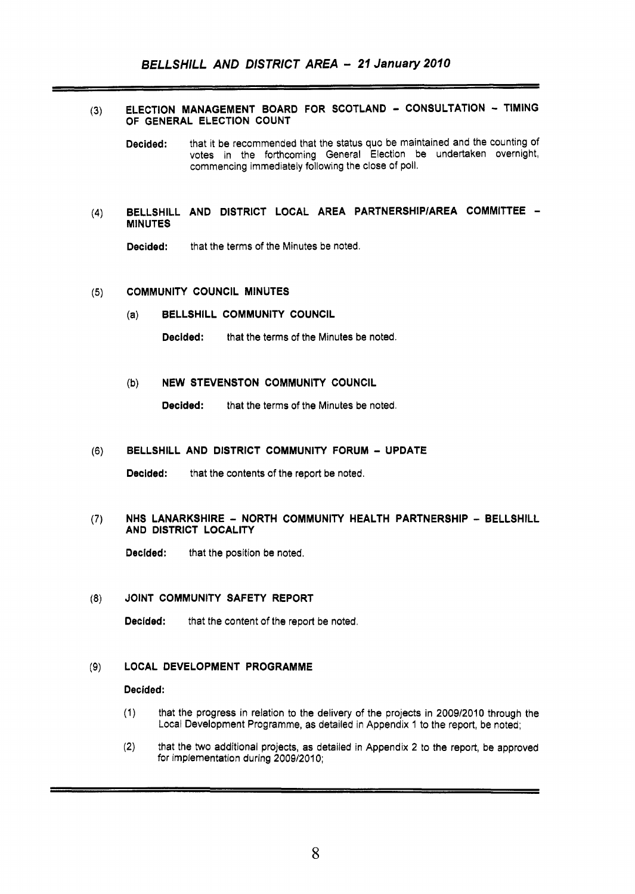### ELECTION MANAGEMENT BOARD FOR SCOTLAND - CONSULTATION - TIMING  $(3)$ OF GENERAL ELECTION COUNT

- Decided: that it be recommended that the status quo be maintained and the counting of votes in the forthcoming General Election be undertaken overnight, commencing immediately following the close of poll.
- BELLSHILL AND DISTRICT LOCAL AREA PARTNERSHlPlAREA COMMITTEE  $(4)$ MINUTES

Decided: that the terms of the Minutes be noted.

#### COMMUNITY COUNCIL MINUTES  $(5)$

(a) BELLSHILL COMMUNITY COUNCIL

Decided: that the terms of the Minutes be noted.

## (b) NEW STEVENSTON COMMUNITY COUNCIL

Decided: that the terms of the Minutes be noted.

#### BELLSHILL AND DISTRICT COMMUNITY FORUM - UPDATE  $(6)$

Decided: that the contents of the report be noted.

#### $(7)$ NHS LANARKSHIRE - NORTH COMMUNITY HEALTH PARTNERSHIP - BELLSHILL AND DISTRICT LOCALITY

Decided: that the position be noted.

#### JOINT COMMUNITY SAFETY REPORT  $(8)$

Decided: that the content of the report be noted.

#### LOCAL DEVELOPMENT PROGRAMME  $(9)$

### Decided:

- (1) that the progress in relation to the delivery of the projects in 200912010 through the Local Development Programme, as detailed in Appendix 1 to the report, be noted;
- (2) that the two additional projects, as detailed in Appendix 2 to the report, be approved for implementation during 2009/2010;